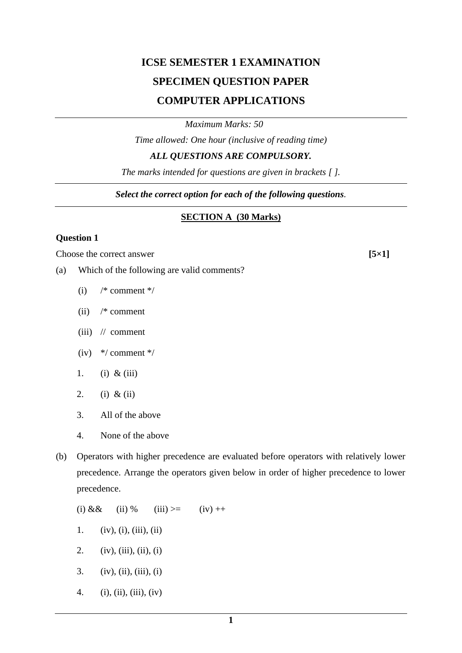# **ICSE SEMESTER 1 EXAMINATION SPECIMEN QUESTION PAPER COMPUTER APPLICATIONS**

*Maximum Marks: 50*

*Time allowed: One hour (inclusive of reading time)*

*ALL QUESTIONS ARE COMPULSORY.*

*The marks intended for questions are given in brackets [ ].*

*Select the correct option for each of the following questions.*

# **SECTION A (30 Marks)**

## **Question 1**

Choose the correct answer **[5**×1]

- (a) Which of the following are valid comments?
	- (i)  $/*$  comment  $*/$
	- (ii) /\* comment
	- (iii) // comment
	- (iv)  $*/$  comment  $*/$
	- 1. (i) & (iii)
	- 2. (i) & (ii)
	- 3. All of the above
	- 4. None of the above
- (b) Operators with higher precedence are evaluated before operators with relatively lower precedence. Arrange the operators given below in order of higher precedence to lower precedence.

(i)  $\&\&$  (ii) % (iii) >= (iv) ++ 1. (iv), (i), (iii), (ii)

- 2. (iv), (iii), (ii), (i)
- 3. (iv), (ii), (iii), (i)
- 4. (i), (ii), (iii), (iv)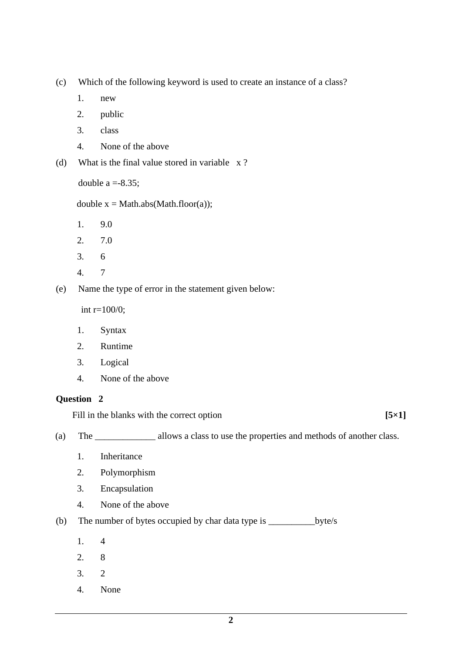(c) Which of the following keyword is used to create an instance of a class?

- 1. new
- 2. public
- 3. class
- 4. None of the above
- (d) What is the final value stored in variable x ?

double  $a = -8.35$ ;

double  $x = Math.abs(Math.float(o))$ ;

- 1. 9.0
- 2. 7.0
- 3. 6
- 4. 7

(e) Name the type of error in the statement given below:

 $int r=100/0;$ 

- 1. Syntax
- 2. Runtime
- 3. Logical
- 4. None of the above

#### **Question 2**

Fill in the blanks with the correct option **[5×1]** 

(a) The \_\_\_\_\_\_\_\_\_\_\_\_\_ allows a class to use the properties and methods of another class.

- 1. Inheritance
- 2. Polymorphism
- 3. Encapsulation
- 4. None of the above

(b) The number of bytes occupied by char data type is \_\_\_\_\_\_\_\_\_\_byte/s

- 1. 4
- 2. 8
- 3. 2
- 4. None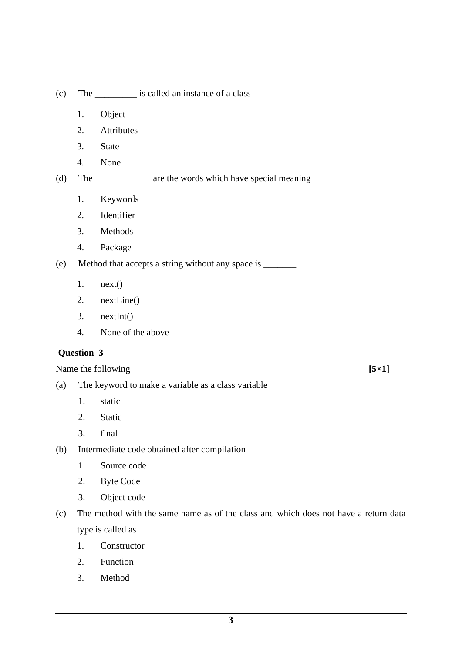- (c) The \_\_\_\_\_\_\_\_\_ is called an instance of a class
	- 1. Object
	- 2. Attributes
	- 3. State
	- 4. None

(d) The \_\_\_\_\_\_\_\_\_\_\_\_ are the words which have special meaning

- 1. Keywords
- 2. Identifier
- 3. Methods
- 4. Package

(e) Method that accepts a string without any space is \_\_\_\_\_\_\_

- 1. next()
- 2. nextLine()
- 3. nextInt()
- 4. None of the above

## **Question 3**

Name the following **[5**×1]

- (a) The keyword to make a variable as a class variable
	- 1. static
	- 2. Static
	- 3. final
- (b) Intermediate code obtained after compilation
	- 1. Source code
	- 2. Byte Code
	- 3. Object code
- (c) The method with the same name as of the class and which does not have a return data type is called as
	- 1. Constructor
	- 2. Function
	- 3. Method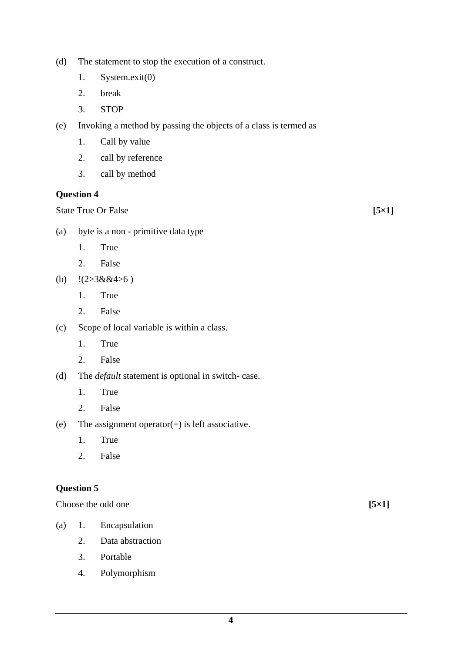- (d) The statement to stop the execution of a construct.
	- 1. System.exit(0)
	- 2. break
	- 3. STOP
- (e) Invoking a method by passing the objects of a class is termed as
	- 1. Call by value
	- 2. call by reference
	- 3. call by method

State True Or False **[5**×1]

- (a) byte is a non primitive data type
	- 1. True
	- 2. False
- (b)  $!(2>3&8.4>6)$ 
	- 1. True
	- 2. False
- (c) Scope of local variable is within a class.
	- 1. True
	- 2. False
- (d) The *default* statement is optional in switch- case.
	- 1. True
	- 2. False
- (e) The assignment operator(=) is left associative.
	- 1. True
	- 2. False

## **Question 5**

Choose the odd one **[5**×1]

- (a) 1. Encapsulation
	- 2. Data abstraction
	- 3. Portable
	- 4. Polymorphism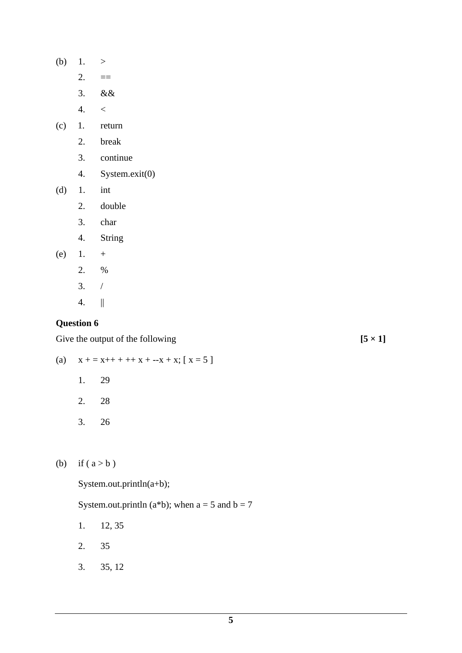- (b) 1.  $>$ 
	- $2. = =$
	- 3. &&
	- $4. < 1$
- (c) 1. return
	- 2. break
	- 3. continue
	- 4. System.exit(0)
- (d) 1. int
	- 2. double
	- 3. char
	- 4. String
- (e)  $1. +$ 
	- 2. %
	- 3. /
	- 4. ||

Give the output of the following  $[5 \times 1]$ 

(a)  $x + 1 = x + 1 + x + 1 + x + x + x; [x = 5]$ 

- 1. 29
- 2. 28
- 3. 26

(b) if ( $a > b$ )

System.out.println(a+b);

System.out.println (a\*b); when  $a = 5$  and  $b = 7$ 

- 1. 12, 35
- 2. 35
- 3. 35, 12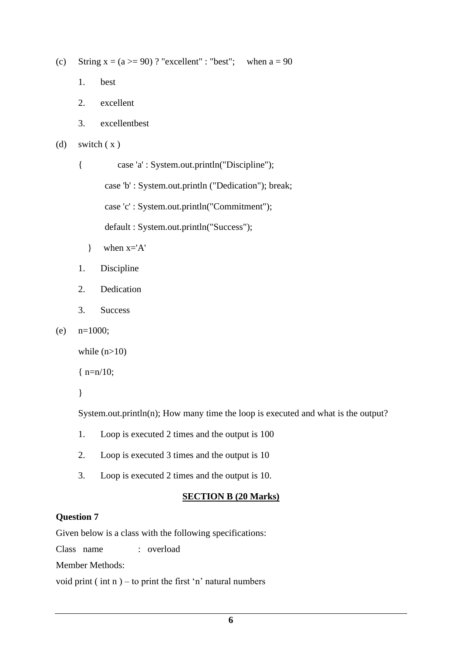- (c) String  $x = (a \ge 90)$ ? "excellent" : "best"; when  $a = 90$ 
	- 1. best
	- 2. excellent
	- 3. excellentbest
- (d) switch  $(x)$

{ case 'a' : System.out.println("Discipline");

case 'b' : System.out.println ("Dedication"); break;

case 'c' : System.out.println("Commitment");

default : System.out.println("Success");

- $\}$  when  $x='A'$
- 1. Discipline
- 2. Dedication
- 3. Success
- (e)  $n=1000$ ;

while  $(n>10)$ 

{ n=n/10;

}

System.out.println(n); How many time the loop is executed and what is the output?

- 1. Loop is executed 2 times and the output is 100
- 2. Loop is executed 3 times and the output is 10
- 3. Loop is executed 2 times and the output is 10.

## **SECTION B (20 Marks)**

## **Question 7**

Given below is a class with the following specifications:

Class name : overload

Member Methods:

void print (int  $n$ ) – to print the first 'n' natural numbers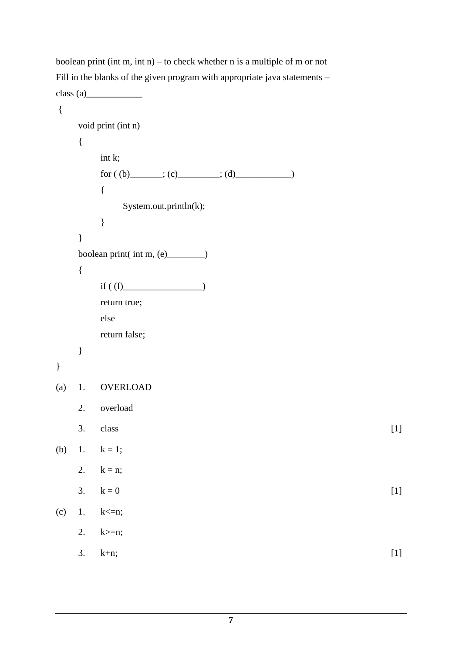boolean print (int m, int n) – to check whether n is a multiple of m or not Fill in the blanks of the given program with appropriate java statements –  $class (a)$ 

```
{
   void print (int n)
   {
      int k;
      for ( (b) ______; (c) ______; (d) ___________)
      {
          System.out.println(k);
      }
   }
   boolean print( int m, (e)______)
   {
      if ( (f) \qquad \qquad \qquad )return true;
      else
      return false;
   }
}
(a) 1. OVERLOAD
   2. overload
   3. \text{ class } [1]
(b) 1. k = 1;
   2. k = n;
   3. k = 0 [1]
(c) 1. k \le n;
   2. k>=n;
   3. k+n; [1]
```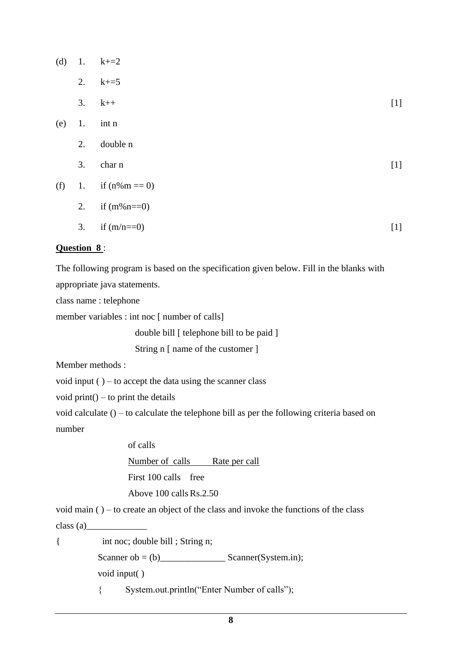| (d) | 1. | $k+2$            |       |
|-----|----|------------------|-------|
|     | 2. | $k+ = 5$         |       |
|     | 3. | $k++$            | $[1]$ |
| (e) | 1. | int n            |       |
|     | 2. | double n         |       |
|     | 3. | char n           | $[1]$ |
| (f) | 1. | if $(n\%m == 0)$ |       |
|     | 2. | if $(m\%n == 0)$ |       |
|     | 3. | if $(m/n==0)$    | $[1]$ |
|     |    |                  |       |

## **Question 8** :

The following program is based on the specification given below. Fill in the blanks with

appropriate java statements.

class name : telephone

member variables : int noc [ number of calls]

double bill [ telephone bill to be paid ]

String n [ name of the customer ]

Member methods :

void input  $()$  – to accept the data using the scanner class

void print $()$  – to print the details

void calculate () – to calculate the telephone bill as per the following criteria based on number

of calls

Number of calls Rate per call

First 100 calls free

Above 100 calls Rs.2.50

void main ( ) – to create an object of the class and invoke the functions of the class  $class (a)$ 

{ int noc; double bill ; String n;

Scanner ob = (b)  $\qquad \qquad$  Scanner(System.in);

void input( )

{ System.out.println("Enter Number of calls");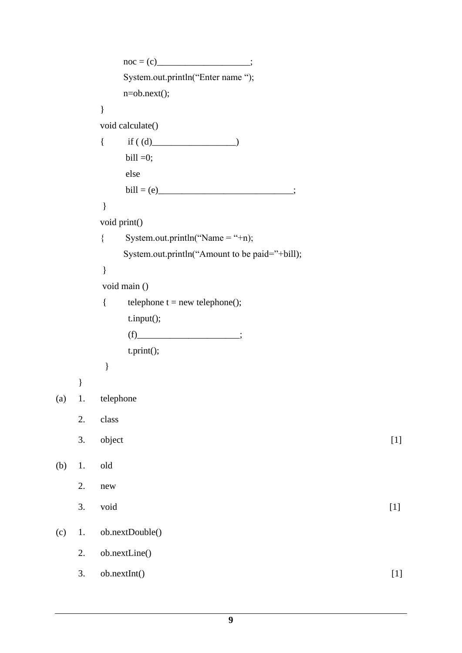```
noc = (c) ;
           System.out.println("Enter name ");
           n=ob.next();
       }
       void calculate()
      { if ( (d)bill =0;
           else
          \text{bill} = (e) ;
 }
       void print()
      { System.out.println("Name = "+n);
          System.out.println("Amount to be paid="+bill);
 }
        void main ()
       { telephone t = new telephone();
           t.input();
          (f) ;
           t.print();
        } 
    }
(a) 1. telephone 
   2. class 
   3. object [1]
(b) 1. old 
   2. new 
   3. void [1](c) 1. ob.nextDouble() 
   2. ob.nextLine() 
   3. ob.nextInt() [1]
```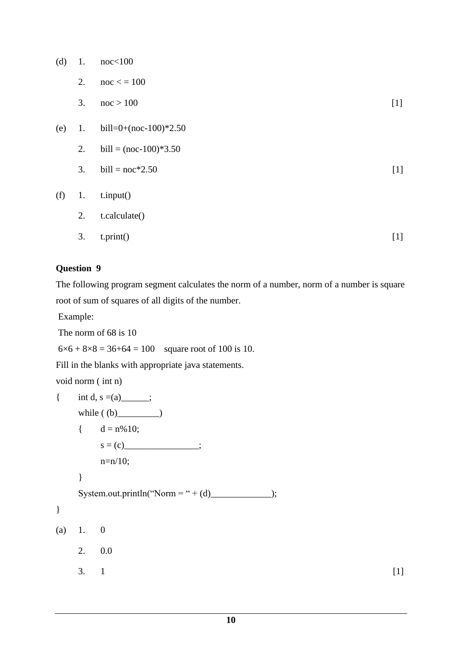- (d) 1.  $\text{noc} < 100$ 
	- 2.  $\text{noc} < 100$
	- 3.  $\text{noc} > 100$  [1]
- (e) 1. bill=0+(noc-100)\*2.50
	- 2. bill =  $(noc-100)*3.50$
	- 3. bill =  $\text{noc*2.50}$  [1]
- (f) 1. t.input()
	- 2. t.calculate() 3.  $\text{t.print}()$  [1]

The following program segment calculates the norm of a number, norm of a number is square root of sum of squares of all digits of the number.

Example:

The norm of 68 is 10

 $6 \times 6 + 8 \times 8 = 36 + 64 = 100$  square root of 100 is 10.

Fill in the blanks with appropriate java statements.

void norm ( int n)

```
{ int d, s =(a) \qquad;
   while ( (b) ) ){d = n\% 10;
      s = (c) ;
      n=n/10;
   }
   System.out.println("Norm = " + (d)_____________);
}
(a) 1. 0
   2. 0.0
   3. 1 [1]
```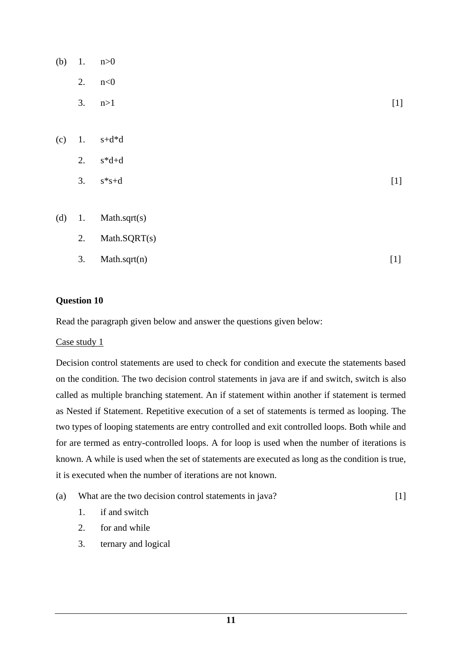| (b) | 1. | n>0                          |       |
|-----|----|------------------------------|-------|
|     | 2. | n<0                          |       |
|     | 3. | n>1                          | $[1]$ |
|     |    |                              |       |
| (c) | 1. | $s+d*d$                      |       |
|     | 2. | $s^{\ast}d{+}d$              |       |
|     | 3. | $s\!\!\ast\!\!s\!\!\:+\!\!d$ | $[1]$ |
|     |    |                              |       |
| (d) | 1. | Math.sqrt(s)                 |       |
|     | 2. | Math.SQRT(s)                 |       |
|     | 3. | Math.sqrt(n)                 | $[1]$ |

Read the paragraph given below and answer the questions given below:

## Case study 1

Decision control statements are used to check for condition and execute the statements based on the condition. The two decision control statements in java are if and switch, switch is also called as multiple branching statement. An if statement within another if statement is termed as Nested if Statement. Repetitive execution of a set of statements is termed as looping. The two types of looping statements are entry controlled and exit controlled loops. Both while and for are termed as entry-controlled loops. A for loop is used when the number of iterations is known. A while is used when the set of statements are executed as long as the condition is true, it is executed when the number of iterations are not known.

- (a) What are the two decision control statements in java? [1]
	- 1. if and switch
	- 2. for and while
	- 3. ternary and logical